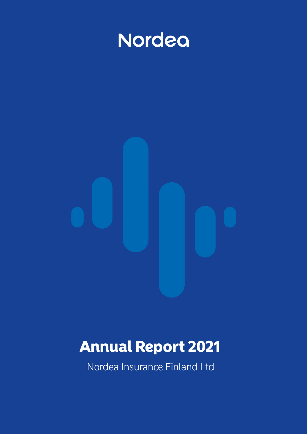

# Annual Report 2021

Nordea Insurance Finland Ltd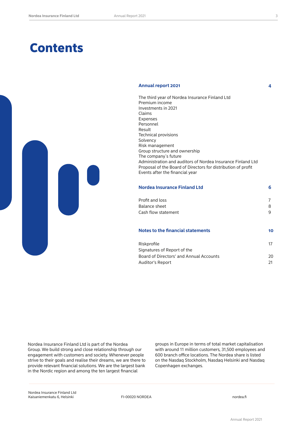## **Contents**

#### **Annual report 2021 4**



The third year of Nordea Insurance Finland Ltd Premium income Investments in 2021 Claims Expenses Personnel Result and the contract of the contract of the contract of the contract of the contract of the contract of the Technical provisions Solvency Risk management Group structure and ownership The company´s future Administration and auditors of Nordea Insurance Finland Ltd Proposal of the Board of Directors for distribution of profit Events after the financial year

| <b>Nordea Insurance Finland Ltd</b> |    |
|-------------------------------------|----|
| Profit and loss                     |    |
| Balance sheet                       | 8  |
| Cash flow statement                 |    |
| Notes to the financial statements   | 10 |

| Riskprofile                             |     |
|-----------------------------------------|-----|
| Signatures of Report of the             |     |
| Board of Directors' and Annual Accounts | 20  |
| Auditor's Report                        | -21 |

Nordea Insurance Finland Ltd is part of the Nordea Group. We build strong and close relationship through our engagement with customers and society. Whenever people strive to their goals and realise their dreams, we are there to provide relevant financial solutions. We are the largest bank in the Nordic region and among the ten largest financial

groups in Europe in terms of total market capitalisation with around 11 million customers, 31,500 employees and 600 branch office locations. The Nordea share is listed on the Nasdaq Stockholm, Nasdaq Helsinki and Nasdaq Copenhagen exchanges.

Nordea Insurance Finland Ltd Kaisaniemenkatu 6, Helsinki Kaisaniemenkatu 6, Helsinki Kaisaniemenkatu 6, Helsinki Kaisaniemenkatu 6, Helsinki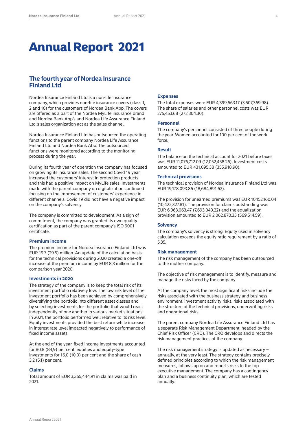## Annual Report 2021

## **The fourth year of Nordea Insurance Finland Ltd**

Nordea Insurance Finland Ltd is a non-life insurance company, which provides non-life insurance covers (class 1, 2 and 16) for the customers of Nordea Bank Abp. The covers are offered as a part of the Nordea MyLife insurance brand and Nordea Bank Abp's and Nordea Life Assurance Finland Ltd.'s sales organization act as the sales channel.

Nordea Insurance Finland Ltd has outsourced the operating functions to the parent company Nordea Life Assurance Finland Ltd and Nordea Bank Abp. The outsourced functions were monitored according to the monitoring process during the year.

During its fourth year of operation the company has focused on growing its insurance sales. The second Covid 19 year increased the customers' interest in protection products and this had a positive impact on MyLife sales. Investments made with the parent company on digitalization continued focusing on the improvement of customers' experience in different channels. Covid 19 did not have a negative impact on the company's solvency.

The company is committed to development. As a sign of commitment, the company was granted its own quality certification as part of the parent company's ISO 9001 certificate.

#### **Premium income**

The premium income for Nordea Insurance Finland Ltd was EUR 19.7 (29.5) million. An update of the calculation basis for the technical provisions during 2020 created a one-off increase of the premium income by EUR 8.3 million for the comparison year 2020.

#### **Investments in 2020**

The strategy of the company is to keep the total risk of its investment portfolio relatively low. The low risk level of the investment portfolio has been achieved by comprehensively diversifying the portfolio into different asset classes and by selecting investments for the portfolio that would react independently of one another in various market situations. In 2021, the portfolio performed well relative to its risk level. Equity investments provided the best return while increase in interest rate level impacted negatively to performance of fixed income assets.

At the end of the year, fixed income investments accounted for 80,8 (84,9) per cent, equities and equity-type investments for 16,0 (10,0) per cent and the share of cash 3,2 (5,1) per cent.

#### **Claims**

Total amount of EUR 3,365,444.91 in claims was paid in 2021.

#### **Expenses**

The total expenses were EUR 4,399,663.17 (3,507,369.98). The share of salaries and other personnel costs was EUR 275,453.68 (272,304.30).

#### **Personnel**

The company's personnel consisted of three people during the year. Women accounted for 100 per cent of the work force.

#### **Result**

The balance on the technical account for 2021 before taxes was EUR 11,076,712.09 (12,052,458.26). Investment costs amounted to EUR 431,095.38 (355,918.90).

#### **Technical provisions**

The technical provision of Nordea Insurance Finland Ltd was EUR 19,178,093.86 (18,684,891.62).

The provision for unearned premiums was EUR 10,152,160.04 (10,422,327.81). The provision for claims outstanding was EUR 6,963,063.47 (7,693,049.22) and the equalization provision amounted to EUR 2,062,870.35 (569,514.59).

#### **Solvency**

The company's solvency is strong. Equity used in solvency calculation exceeds the equity ratio requirement by a ratio of 5.35.

#### **Risk management**

The risk management of the company has been outsourced to the mother company.

The objective of risk management is to identify, measure and manage the risks faced by the company.

At the company level, the most significant risks include the risks associated with the business strategy and business environment, investment activity risks, risks associated with the structure of the technical provisions, underwriting risks and operational risks.

The parent company Nordea Life Assurance Finland Ltd has a separate Risk Management Department, headed by the Chief Risk Officer (CRO). The CRO develops and directs the risk management practices of the company.

The risk management strategy is updated as necessary – annually, at the very least. The strategy contains precisely defined principles according to which the risk management measures, follows up on and reports risks to the top executive management. The company has a contingency plan and a business continuity plan, which are tested annually.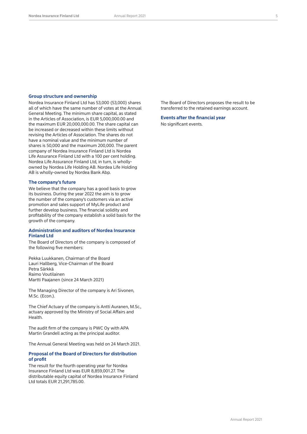#### **Group structure and ownership**

Nordea Insurance Finland Ltd has 53,000 (53,000) shares all of which have the same number of votes at the Annual General Meeting. The minimum share capital, as stated in the Articles of Association, is EUR 5,000,000.00 and the maximum EUR 20,000,000.00. The share capital can be increased or decreased within these limits without revising the Articles of Association. The shares do not have a nominal value and the minimum number of shares is 50,000 and the maximum 200,000. The parent company of Nordea Insurance Finland Ltd is Nordea Life Assurance Finland Ltd with a 100 per cent holding. Nordea Life Assurance Finland Ltd, in turn, is whollyowned by Nordea Life Holding AB. Nordea Life Holding AB is wholly-owned by Nordea Bank Abp.

#### **The company's future**

We believe that the company has a good basis to grow its business. During the year 2022 the aim is to grow the number of the company's customers via an active promotion and sales support of MyLife product and further develop business. The financial solidity and profitability of the company establish a solid basis for the growth of the company.

#### **Administration and auditors of Nordea Insurance Finland Ltd**

The Board of Directors of the company is composed of the following five members:

Pekka Luukkanen, Chairman of the Board Lauri Hallberg, Vice-Chairman of the Board Petra Särkkä Raimo Voutilainen Martti Paajanen (since 24 March 2021)

The Managing Director of the company is Ari Sivonen, M.Sc. (Econ.).

The Chief Actuary of the company is Antti Auranen, M.Sc., actuary approved by the Ministry of Social Affairs and Health.

The audit firm of the company is PWC Oy with APA Martin Grandell acting as the principal auditor.

The Annual General Meeting was held on 24 March 2021.

#### **Proposal of the Board of Directors for distribution of profit**

The result for the fourth operating year for Nordea Insurance Finland Ltd was EUR 8,859,001.27. The distributable equity capital of Nordea Insurance Finland Ltd totals EUR 21,291,785.00.

The Board of Directors proposes the result to be transferred to the retained earnings account.

**Events after the financial year** No significant events.

Annual Report 2021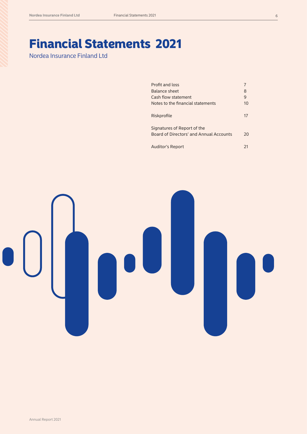## Financial Statements 2021

Nordea Insurance Finland Ltd

| Profit and loss                         |    |
|-----------------------------------------|----|
| Balance sheet                           | 8  |
| Cash flow statement                     | 9  |
| Notes to the financial statements       | 10 |
| Riskprofile                             | 17 |
| Signatures of Report of the             |    |
| Board of Directors' and Annual Accounts | 20 |
| <b>Auditor's Report</b>                 | 21 |

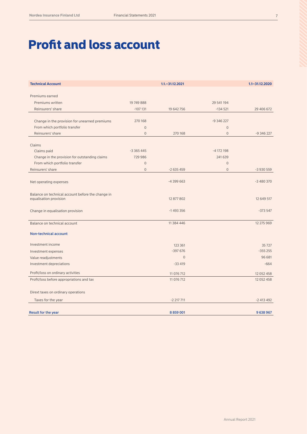## Profit and loss account

| <b>Technical Account</b>                                                    |                | $1.1 - 31.12.2021$ |                | $1.1 - 31.12.2020$ |
|-----------------------------------------------------------------------------|----------------|--------------------|----------------|--------------------|
|                                                                             |                |                    |                |                    |
| Premiums earned                                                             |                |                    |                |                    |
| Premiums written                                                            | 19749888       |                    | 29 541 194     |                    |
| Reinsurers' share                                                           | $-107131$      | 19 642 756         | $-134521$      | 29 406 672         |
|                                                                             |                |                    |                |                    |
| Change in the provision for unearned premiums                               | 270 168        |                    | $-9346227$     |                    |
| From which portfolio transfer                                               | $\overline{0}$ |                    | $\mathbf 0$    |                    |
| Reinsurers' share                                                           | $\Omega$       | 270 168            | $\Omega$       | $-9346227$         |
| Claims                                                                      |                |                    |                |                    |
| Claims paid                                                                 | $-3365445$     |                    | $-4$ 172 198   |                    |
| Change in the provision for outstanding claims                              | 729 986        |                    | 241 639        |                    |
| From which portfolio transfer                                               | $\overline{0}$ |                    | $\overline{0}$ |                    |
| Reinsurers' share                                                           | $\Omega$       | $-2635459$         | $\Omega$       | $-3930559$         |
|                                                                             |                |                    |                |                    |
| Net operating expenses                                                      |                | $-4399663$         |                | $-3480370$         |
|                                                                             |                |                    |                |                    |
| Balance on technical account before the change in<br>equalisation provision |                | 12 877 802         |                | 12 649 517         |
|                                                                             |                |                    |                |                    |
| Change in equalisation provision                                            |                | $-1493356$         |                | $-373547$          |
|                                                                             |                |                    |                |                    |
| Balance on technical account                                                |                | 11 384 446         |                | 12 275 969         |
| <b>Non-technical account</b>                                                |                |                    |                |                    |
| Investment income                                                           |                | 123 361            |                | 35727              |
| Investment expenses                                                         |                | $-397676$          |                | $-355255$          |
| Value readjustments                                                         |                | $\mathbf{0}$       |                | 96 681             |
| Investment depreciations                                                    |                | $-33419$           |                | $-664$             |
| Profit/loss on ordinary activities                                          |                | 11 076 712         |                | 12 052 458         |
| Profit/loss before appropriations and tax                                   |                | 11 076 712         |                | 12 052 458         |
| Dirext taxes on ordinary operations                                         |                |                    |                |                    |
| Taxes for the year                                                          |                | $-2$ 217 711       |                | $-2413492$         |
|                                                                             |                |                    |                |                    |
| <b>Result for the year</b>                                                  |                | 8 859 001          |                | 9 638 967          |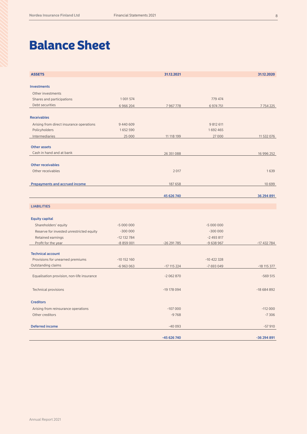## Balance Sheet

| <b>ASSETS</b>                              |               | 31.12.2021    |               | 31.12.2020    |
|--------------------------------------------|---------------|---------------|---------------|---------------|
| <b>Investments</b>                         |               |               |               |               |
| Other investments                          |               |               |               |               |
| Shares and participations                  | 1 0 0 1 5 7 4 |               | 779 474       |               |
| Debt securities                            | 6 9 6 2 0 4   | 7967778       | 6 974 751     | 7754225       |
| <b>Receivables</b>                         |               |               |               |               |
| Arising from direct insurance operations   | 9 440 609     |               | 9 812 611     |               |
| Policyholders                              | 1652590       |               | 1692465       |               |
| Intermediaries                             | 25 000        | 11 118 199    | 27 000        | 11 532 076    |
|                                            |               |               |               |               |
| <b>Other assets</b>                        |               |               |               |               |
| Cash in hand and at bank                   |               | 26 351 088    |               | 16 996 252    |
|                                            |               |               |               |               |
| <b>Other receivables</b>                   |               |               |               |               |
| Other receivables                          |               | 2 0 1 7       |               | 1639          |
| Prepayments and accrued income             |               | 187 658       |               | 10 699        |
|                                            |               |               |               |               |
|                                            |               | 45 626 740    |               | 36 294 891    |
| <b>LIABILITIES</b>                         |               |               |               |               |
| <b>Equity capital</b>                      |               |               |               |               |
| Shareholders' equity                       | $-5000000$    |               | $-5000000$    |               |
| Reserve for invested unrestricted equity   | $-300000$     |               | $-300000$     |               |
| Retained earnings                          | $-12$ 132 784 |               | $-2493817$    |               |
| Profit for the year                        | $-8859001$    | $-26291785$   | $-9638967$    | $-17432784$   |
|                                            |               |               |               |               |
| <b>Technical account</b>                   |               |               |               |               |
| Provisions for unearned premiums           | $-10$ 152 160 |               | $-10$ 422 328 |               |
| Outstanding claims                         | $-6963063$    | $-17$ 115 224 | -7 693 049    | $-18$ 115 377 |
| Equalisation provision, non-life insurance |               | $-2062870$    |               | $-569515$     |
| <b>Technical provisions</b>                |               | -19 178 094   |               | $-18684892$   |
|                                            |               |               |               |               |
| <b>Creditors</b>                           |               |               |               |               |
| Arising from reinsurance operations        |               | $-107000$     |               | $-112000$     |
| Other creditors                            |               | $-9768$       |               | $-7306$       |
| <b>Deferred income</b>                     |               | $-40093$      |               | $-57910$      |
|                                            |               | -45 626 740   |               | -36 294 891   |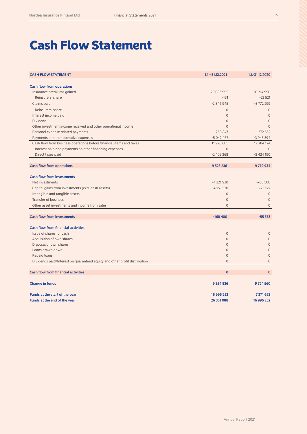## Cash Flow Statement

| <b>CASH FLOW STATEMENT</b>                                                 | $1.1 - 31.12.2021$ | 1.1.-31.12.2020 |
|----------------------------------------------------------------------------|--------------------|-----------------|
| <b>Cash flow from operations</b>                                           |                    |                 |
| Insurance premiums gained                                                  | 20 086 995         | 20 214 990      |
| Reinsurers' share                                                          | $-131$             | $-22521$        |
| Claims paid                                                                | $-2846945$         | $-3772299$      |
| Reinsurers' share                                                          | $\overline{0}$     | $\mathbf{0}$    |
| Interest income paid                                                       | $\overline{0}$     | $\mathbf{0}$    |
| Dividend                                                                   | $\overline{0}$     | $\mathbf{0}$    |
| Other investment income received and other operational income              | $\Omega$           | $\Omega$        |
| Personel expense related payments                                          | $-268847$          | $-272652$       |
| Payments on other operative expenses                                       | $-5042467$         | $-3943394$      |
| Cash flow from business operations before financial items and taxes        | 11 928 605         | 12 204 124      |
| Interest paid and payments on other financing expenses                     | $\Omega$           | $\Omega$        |
| Direct taxes paid                                                          | $-2405368$         | $-2424190$      |
|                                                                            |                    |                 |
| <b>Cash flow from operations</b>                                           | 9 5 23 2 3 6       | 9779934         |
|                                                                            |                    |                 |
| <b>Cash flow from investments</b>                                          |                    |                 |
| Net investments                                                            | $-4321930$         | $-780500$       |
| Capital gains from investments (excl. cash assets)                         | 4 1 5 3 5 3 0      | 725 127         |
| Intangible and tangible assets                                             | $\Omega$           | $\mathbf{0}$    |
| <b>Transfer of business</b>                                                | $\overline{0}$     | $\mathbf{0}$    |
| Other asset investments and income from sales                              | $\Omega$           | $\mathbf{0}$    |
|                                                                            |                    |                 |
| <b>Cash flow from investments</b>                                          | $-168400$          | $-55373$        |
| <b>Cash flow from financial activities</b>                                 |                    |                 |
| Issue of shares for cash                                                   | $\overline{0}$     | $\mathbf{0}$    |
| Acquisition of own shares                                                  | $\overline{0}$     | $\mathbf{0}$    |
| Disposal of own shares                                                     | $\overline{0}$     | $\mathbf{0}$    |
| Loans drawn down                                                           | $\overline{0}$     | $\mathbf 0$     |
| Repaid loans                                                               | $\overline{0}$     | $\Omega$        |
| Dividends paid/Interest on guaranteed equity and other profit distribution | $\overline{0}$     | $\overline{0}$  |
|                                                                            |                    |                 |
| <b>Cash flow from financial activities</b>                                 | $\overline{0}$     | $\mathbf{0}$    |
| <b>Change in funds</b>                                                     | 9 3 5 4 8 3 6      | 9724560         |
|                                                                            |                    |                 |
| Funds at the start of the year                                             | 16 996 252         | 7 271 692       |
| Funds at the end of the year                                               | 26 351 088         | 16 996 252      |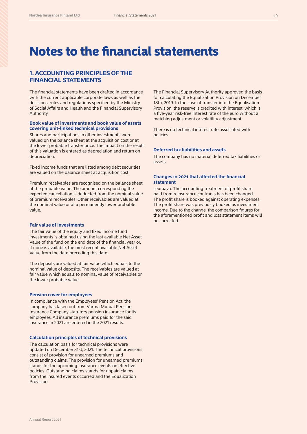## Notes to the financial statements

## **1. ACCOUNTING PRINCIPLES OF THE FINANCIAL STATEMENTS**

The financial statements have been drafted in accordance with the current applicable corporate laws as well as the decisions, rules and regulations specified by the Ministry of Social Affairs and Health and the Financial Supervisory Authority.

#### **Book value of investments and book value of assets covering unit-linked technical provisions**

Shares and participations in other investments were valued on the balance sheet at the acquisition cost or at the lower probable transfer price. The impact on the result of this valuation is entered as depreciation and return on depreciation.

Fixed income funds that are listed among debt securities are valued on the balance sheet at acquisition cost.

Premium receivables are recognised on the balance sheet at the probable value. The amount corresponding the expected cancellation is deducted from the nominal value of premium receivables. Other receivables are valued at the nominal value or at a permanently lower probable value.

#### **Fair value of investments**

The fair value of the equity and fixed income fund investments is obtained using the last available Net Asset Value of the fund on the end date of the financial year or, if none is available, the most recent available Net Asset Value from the date preceding this date.

The deposits are valued at fair value which equals to the nominal value of deposits. The receivables are valued at fair value which equals to nominal value of receivables or the lower probable value.

#### **Pension cover for employees**

In compliance with the Employees' Pension Act, the company has taken out from Varma Mutual Pension Insurance Company statutory pension insurance for its employees. All insurance premiums paid for the said insurance in 2021 are entered in the 2021 results.

#### **Calculation principles of technical provisions**

The calculation basis for technical provisions were updated on December 31st, 2021. The technical provisions consist of provision for unearned premiums and outstanding claims. The provision for unearned premiums stands for the upcoming insurance events on effective policies. Outstanding claims stands for unpaid claims from the insured events occurred and the Equalization Provision.

The Financial Supervisory Authority approved the basis for calculating the Equalization Provision on December 18th, 2019. In the case of transfer into the Equalisation Provision, the reserve is credited with interest, which is a five-year risk-free interest rate of the euro without a matching adjustment or volatility adjustment.

There is no technical interest rate associated with policies.

#### **Deferred tax liabilities and assets**

The company has no material deferred tax liabilities or assets.

#### **Changes in 2021 that affected the financial statement**

seuraava: The accounting treatment of profit share paid from reinsurance contracts has been changed. The profit share is booked against operating expenses. The profit share was previously booked as investment income. Due to the change, the comparison figures for the aforementioned profit and loss statement items will be corrected.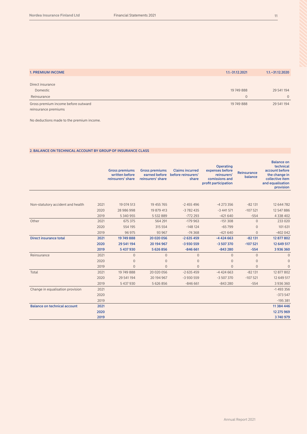| <b>1. PREMIUM INCOME</b>            | 1.1.-31.12.2021 | $1.1 - 31.12.2020$ |
|-------------------------------------|-----------------|--------------------|
|                                     |                 |                    |
| Direct insurance                    |                 |                    |
| Domestic                            | 19 749 888      | 29 541 194         |
| Reinsurance                         | $\mathbf{0}$    | $\Omega$           |
| Gross premium income before outward | 19 749 888      | 29 541 194         |
| reinsurance premiums                |                 |                    |

No deductions made to the premium income.

### 2. BALANCE ON TECHNICAL ACCOUNT BY GROUP OF INSURANCE CLASS

|                                     |      | <b>Gross premiums</b><br>written before<br>reinsurers' share | <b>Gross premiums</b><br>earned before<br>reinsurers' share | <b>Claims incurred</b><br>before reinsurers'<br>share | <b>Operating</b><br>expenses before<br>reinsurers'<br>comissions and<br>profit participation | <b>Reinsurance</b><br>balance | <b>Balance on</b><br>technical<br>account before<br>the change in<br>collective item<br>and equalisation<br>provision |
|-------------------------------------|------|--------------------------------------------------------------|-------------------------------------------------------------|-------------------------------------------------------|----------------------------------------------------------------------------------------------|-------------------------------|-----------------------------------------------------------------------------------------------------------------------|
|                                     |      |                                                              |                                                             |                                                       |                                                                                              |                               |                                                                                                                       |
| Non-statutory accident and health   | 2021 | 19 074 513                                                   | 19 455 765                                                  | $-2455496$                                            | $-4273356$                                                                                   | $-82131$                      | 12 644 782                                                                                                            |
|                                     | 2020 | 28 986 998                                                   | 19 879 413                                                  | $-3782435$                                            | $-3441571$                                                                                   | $-107521$                     | 12 547 886                                                                                                            |
|                                     | 2019 | 5 340 955                                                    | 5 532 889                                                   | $-772293$                                             | $-421640$                                                                                    | $-554$                        | 4 3 3 4 0 2                                                                                                           |
| Other                               | 2021 | 675 375                                                      | 564 291                                                     | $-179963$                                             | $-151308$                                                                                    | $\mathbf{0}$                  | 233 020                                                                                                               |
|                                     | 2020 | 554 195                                                      | 315 554                                                     | $-148124$                                             | $-65799$                                                                                     | $\Omega$                      | 101 631                                                                                                               |
|                                     | 2019 | 96 975                                                       | 93 967                                                      | $-74368$                                              | $-421640$                                                                                    | $\Omega$                      | $-402042$                                                                                                             |
| <b>Direct insurance total</b>       | 2021 | 19 749 888                                                   | 20 020 056                                                  | $-2635459$                                            | $-4424663$                                                                                   | $-82131$                      | 12 877 802                                                                                                            |
|                                     | 2020 | 29 541 194                                                   | 20 194 967                                                  | -3 930 559                                            | $-3507370$                                                                                   | $-107521$                     | 12 649 517                                                                                                            |
|                                     | 2019 | 5 437 930                                                    | 5 626 856                                                   | $-846661$                                             | $-843280$                                                                                    | $-554$                        | 3936360                                                                                                               |
| Reinsurance                         | 2021 | $\mathbf 0$                                                  | $\mathbf{O}$                                                | $\mathbf 0$                                           | $\mathbf 0$                                                                                  | $\overline{0}$                | $\mathbf{0}$                                                                                                          |
|                                     | 2020 | $\overline{0}$                                               | $\overline{0}$                                              | $\overline{0}$                                        | $\overline{0}$                                                                               | $\overline{0}$                | $\overline{0}$                                                                                                        |
|                                     | 2019 | $\overline{0}$                                               | $\overline{0}$                                              | $\mathbf{0}$                                          | $\mathbf{0}$                                                                                 | $\overline{0}$                | $\mathbf{0}$                                                                                                          |
| Total                               | 2021 | 19749888                                                     | 20 020 056                                                  | $-2635459$                                            | $-4424663$                                                                                   | $-82131$                      | 12 877 802                                                                                                            |
|                                     | 2020 | 29 541 194                                                   | 20 194 967                                                  | $-3930559$                                            | $-3507370$                                                                                   | $-107521$                     | 12 649 517                                                                                                            |
|                                     | 2019 | 5 437 930                                                    | 5 626 856                                                   | $-846661$                                             | $-843280$                                                                                    | $-554$                        | 3 936 360                                                                                                             |
| Change in equalisation provision    | 2021 |                                                              |                                                             |                                                       |                                                                                              |                               | $-1493356$                                                                                                            |
|                                     | 2020 |                                                              |                                                             |                                                       |                                                                                              |                               | $-373547$                                                                                                             |
|                                     | 2019 |                                                              |                                                             |                                                       |                                                                                              |                               | $-195381$                                                                                                             |
| <b>Balance on technical account</b> | 2021 |                                                              |                                                             |                                                       |                                                                                              |                               | 11 384 446                                                                                                            |
|                                     | 2020 |                                                              |                                                             |                                                       |                                                                                              |                               | 12 275 969                                                                                                            |
|                                     | 2019 |                                                              |                                                             |                                                       |                                                                                              |                               | 3740979                                                                                                               |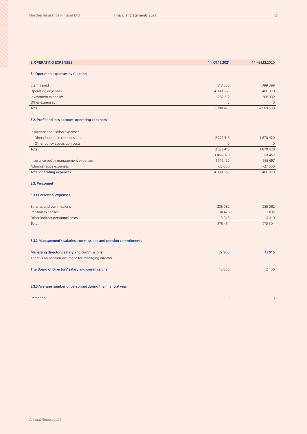| <b>3. OPERATING EXPENSES</b>                                     | 1.1.-31.12.2021 | $1.1 - 31.12.2020$ |
|------------------------------------------------------------------|-----------------|--------------------|
|                                                                  |                 |                    |
| 3.1 Operation expenses by function                               |                 |                    |
| Claims paid                                                      | 518 500         | 399 899            |
| Operating expenses                                               | 4 399 663       | 3 480 370          |
| Investment expenses                                              | 282 312         | 268 339            |
| Other expenses                                                   | $\overline{0}$  | $\overline{0}$     |
| <b>Total</b>                                                     | 5 200 476       | 4 148 608          |
| 3.2. Profit and loss account 'operating expenses'                |                 |                    |
| Insurance acquisition expenses                                   |                 |                    |
| Direct insurance commissions                                     | 2 2 2 4 1 5     | 1870420            |
| Other policy acquisition costs                                   | $\mathbf{0}$    | $\mathbf{0}$       |
| <b>Total</b>                                                     | 2 2 2 4 1 5     | 1870420            |
|                                                                  | 1056070         | 881 452            |
| Insurance policy management expenses                             | 1146179         | 755 497            |
| Administrative expenses                                          | $-25000$        | $-27000$           |
| <b>Total operating expenses</b>                                  | 4 399 663       | 3 480 370          |
|                                                                  |                 |                    |
| 3.3. Personnel                                                   |                 |                    |
| 3.3.1 Personnel expenses                                         |                 |                    |
| Salaries and commissions                                         | 235 082         | 235 062            |
| Pension expenses                                                 | 34 4 26         | 32 832             |
| Other indirect personnel costs                                   | 5946            | 4 4 1 0            |
| <b>Total</b>                                                     | 275 454         | 272 304            |
|                                                                  |                 |                    |
| 3.3.2 Management's salaries, commissions and pension commitments |                 |                    |
| Managing director's salary and commissions                       | 27900           | 13 916             |
| There is no pension insurance for managing director              |                 |                    |
| The Board of Directors' salary and commissions                   | 12 000          | 2 4 0 0            |
| 3.3.3 Average number of personnel during the financial year      |                 |                    |
| Personnel                                                        | 3               | 3                  |
|                                                                  |                 |                    |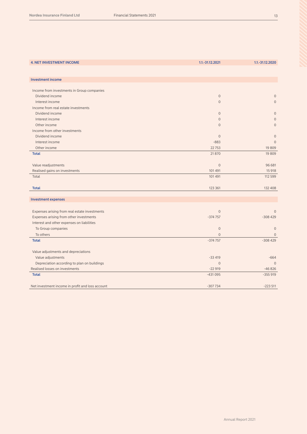| <b>Investment income</b><br>Income from investments in Group companies<br>Dividend income<br>$\mathbf 0$<br>$\mathbf{0}$<br>$\mathbf 0$<br>Interest income<br>$\mathbf 0$<br>Income from real estate investments<br>Dividend income<br>$\mathbf{0}$<br>$\overline{0}$<br>Interest income<br>$\mathbf{0}$<br>$\overline{0}$<br>$\Omega$<br>$\overline{0}$<br>Other income<br>Income from other investments<br>Dividend income<br>$\mathbf{0}$<br>$\mathbf{0}$<br>$\overline{0}$<br>Interest income<br>$-883$<br>Other income<br>22753<br>19809<br>21 870<br><b>Total</b><br>19809<br>Value readjustments<br>$\mathbf{0}$<br>96 681<br>Realised gains on investments<br>101 491<br>15 918<br>112 599<br>Total<br>101 491<br>123 361<br>132 408<br><b>Total</b><br><b>Investment expenses</b><br>Expenses arising from real estate investments<br>$\mathbf{0}$<br>$\Omega$<br>Expenses arising from other investments<br>$-374757$<br>$-308429$<br>Interest and other expenses on liabilities<br>To Group companies<br>$\mathbf 0$<br>$\overline{0}$<br>To others<br>$\mathbf{0}$<br>$\Omega$<br>$-308429$<br><b>Total</b><br>$-374757$<br>Value adjustments and depreciations<br>Value adjustments<br>$-664$<br>$-33419$<br>Depreciation according to plan on buildings<br>$\mathbf{0}$<br>$\Omega$<br>Realised losses on investments<br>$-22919$<br>$-46826$<br><b>Total</b><br>$-431095$<br>$-355919$<br>Net investment income in profit and loss account<br>$-307734$<br>$-223511$ |                                 |                 |                 |
|-------------------------------------------------------------------------------------------------------------------------------------------------------------------------------------------------------------------------------------------------------------------------------------------------------------------------------------------------------------------------------------------------------------------------------------------------------------------------------------------------------------------------------------------------------------------------------------------------------------------------------------------------------------------------------------------------------------------------------------------------------------------------------------------------------------------------------------------------------------------------------------------------------------------------------------------------------------------------------------------------------------------------------------------------------------------------------------------------------------------------------------------------------------------------------------------------------------------------------------------------------------------------------------------------------------------------------------------------------------------------------------------------------------------------------------------------------------------------------------|---------------------------------|-----------------|-----------------|
|                                                                                                                                                                                                                                                                                                                                                                                                                                                                                                                                                                                                                                                                                                                                                                                                                                                                                                                                                                                                                                                                                                                                                                                                                                                                                                                                                                                                                                                                                     | <b>4. NET INVESTMENT INCOME</b> | 1.1.-31.12.2021 | 1.1.-31.12.2020 |
|                                                                                                                                                                                                                                                                                                                                                                                                                                                                                                                                                                                                                                                                                                                                                                                                                                                                                                                                                                                                                                                                                                                                                                                                                                                                                                                                                                                                                                                                                     |                                 |                 |                 |
|                                                                                                                                                                                                                                                                                                                                                                                                                                                                                                                                                                                                                                                                                                                                                                                                                                                                                                                                                                                                                                                                                                                                                                                                                                                                                                                                                                                                                                                                                     |                                 |                 |                 |
|                                                                                                                                                                                                                                                                                                                                                                                                                                                                                                                                                                                                                                                                                                                                                                                                                                                                                                                                                                                                                                                                                                                                                                                                                                                                                                                                                                                                                                                                                     |                                 |                 |                 |
|                                                                                                                                                                                                                                                                                                                                                                                                                                                                                                                                                                                                                                                                                                                                                                                                                                                                                                                                                                                                                                                                                                                                                                                                                                                                                                                                                                                                                                                                                     |                                 |                 |                 |
|                                                                                                                                                                                                                                                                                                                                                                                                                                                                                                                                                                                                                                                                                                                                                                                                                                                                                                                                                                                                                                                                                                                                                                                                                                                                                                                                                                                                                                                                                     |                                 |                 |                 |
|                                                                                                                                                                                                                                                                                                                                                                                                                                                                                                                                                                                                                                                                                                                                                                                                                                                                                                                                                                                                                                                                                                                                                                                                                                                                                                                                                                                                                                                                                     |                                 |                 |                 |
|                                                                                                                                                                                                                                                                                                                                                                                                                                                                                                                                                                                                                                                                                                                                                                                                                                                                                                                                                                                                                                                                                                                                                                                                                                                                                                                                                                                                                                                                                     |                                 |                 |                 |
|                                                                                                                                                                                                                                                                                                                                                                                                                                                                                                                                                                                                                                                                                                                                                                                                                                                                                                                                                                                                                                                                                                                                                                                                                                                                                                                                                                                                                                                                                     |                                 |                 |                 |
|                                                                                                                                                                                                                                                                                                                                                                                                                                                                                                                                                                                                                                                                                                                                                                                                                                                                                                                                                                                                                                                                                                                                                                                                                                                                                                                                                                                                                                                                                     |                                 |                 |                 |
|                                                                                                                                                                                                                                                                                                                                                                                                                                                                                                                                                                                                                                                                                                                                                                                                                                                                                                                                                                                                                                                                                                                                                                                                                                                                                                                                                                                                                                                                                     |                                 |                 |                 |
|                                                                                                                                                                                                                                                                                                                                                                                                                                                                                                                                                                                                                                                                                                                                                                                                                                                                                                                                                                                                                                                                                                                                                                                                                                                                                                                                                                                                                                                                                     |                                 |                 |                 |
|                                                                                                                                                                                                                                                                                                                                                                                                                                                                                                                                                                                                                                                                                                                                                                                                                                                                                                                                                                                                                                                                                                                                                                                                                                                                                                                                                                                                                                                                                     |                                 |                 |                 |
|                                                                                                                                                                                                                                                                                                                                                                                                                                                                                                                                                                                                                                                                                                                                                                                                                                                                                                                                                                                                                                                                                                                                                                                                                                                                                                                                                                                                                                                                                     |                                 |                 |                 |
|                                                                                                                                                                                                                                                                                                                                                                                                                                                                                                                                                                                                                                                                                                                                                                                                                                                                                                                                                                                                                                                                                                                                                                                                                                                                                                                                                                                                                                                                                     |                                 |                 |                 |
|                                                                                                                                                                                                                                                                                                                                                                                                                                                                                                                                                                                                                                                                                                                                                                                                                                                                                                                                                                                                                                                                                                                                                                                                                                                                                                                                                                                                                                                                                     |                                 |                 |                 |
|                                                                                                                                                                                                                                                                                                                                                                                                                                                                                                                                                                                                                                                                                                                                                                                                                                                                                                                                                                                                                                                                                                                                                                                                                                                                                                                                                                                                                                                                                     |                                 |                 |                 |
|                                                                                                                                                                                                                                                                                                                                                                                                                                                                                                                                                                                                                                                                                                                                                                                                                                                                                                                                                                                                                                                                                                                                                                                                                                                                                                                                                                                                                                                                                     |                                 |                 |                 |
|                                                                                                                                                                                                                                                                                                                                                                                                                                                                                                                                                                                                                                                                                                                                                                                                                                                                                                                                                                                                                                                                                                                                                                                                                                                                                                                                                                                                                                                                                     |                                 |                 |                 |
|                                                                                                                                                                                                                                                                                                                                                                                                                                                                                                                                                                                                                                                                                                                                                                                                                                                                                                                                                                                                                                                                                                                                                                                                                                                                                                                                                                                                                                                                                     |                                 |                 |                 |
|                                                                                                                                                                                                                                                                                                                                                                                                                                                                                                                                                                                                                                                                                                                                                                                                                                                                                                                                                                                                                                                                                                                                                                                                                                                                                                                                                                                                                                                                                     |                                 |                 |                 |
|                                                                                                                                                                                                                                                                                                                                                                                                                                                                                                                                                                                                                                                                                                                                                                                                                                                                                                                                                                                                                                                                                                                                                                                                                                                                                                                                                                                                                                                                                     |                                 |                 |                 |
|                                                                                                                                                                                                                                                                                                                                                                                                                                                                                                                                                                                                                                                                                                                                                                                                                                                                                                                                                                                                                                                                                                                                                                                                                                                                                                                                                                                                                                                                                     |                                 |                 |                 |
|                                                                                                                                                                                                                                                                                                                                                                                                                                                                                                                                                                                                                                                                                                                                                                                                                                                                                                                                                                                                                                                                                                                                                                                                                                                                                                                                                                                                                                                                                     |                                 |                 |                 |
|                                                                                                                                                                                                                                                                                                                                                                                                                                                                                                                                                                                                                                                                                                                                                                                                                                                                                                                                                                                                                                                                                                                                                                                                                                                                                                                                                                                                                                                                                     |                                 |                 |                 |
|                                                                                                                                                                                                                                                                                                                                                                                                                                                                                                                                                                                                                                                                                                                                                                                                                                                                                                                                                                                                                                                                                                                                                                                                                                                                                                                                                                                                                                                                                     |                                 |                 |                 |
|                                                                                                                                                                                                                                                                                                                                                                                                                                                                                                                                                                                                                                                                                                                                                                                                                                                                                                                                                                                                                                                                                                                                                                                                                                                                                                                                                                                                                                                                                     |                                 |                 |                 |
|                                                                                                                                                                                                                                                                                                                                                                                                                                                                                                                                                                                                                                                                                                                                                                                                                                                                                                                                                                                                                                                                                                                                                                                                                                                                                                                                                                                                                                                                                     |                                 |                 |                 |
|                                                                                                                                                                                                                                                                                                                                                                                                                                                                                                                                                                                                                                                                                                                                                                                                                                                                                                                                                                                                                                                                                                                                                                                                                                                                                                                                                                                                                                                                                     |                                 |                 |                 |
|                                                                                                                                                                                                                                                                                                                                                                                                                                                                                                                                                                                                                                                                                                                                                                                                                                                                                                                                                                                                                                                                                                                                                                                                                                                                                                                                                                                                                                                                                     |                                 |                 |                 |
|                                                                                                                                                                                                                                                                                                                                                                                                                                                                                                                                                                                                                                                                                                                                                                                                                                                                                                                                                                                                                                                                                                                                                                                                                                                                                                                                                                                                                                                                                     |                                 |                 |                 |
|                                                                                                                                                                                                                                                                                                                                                                                                                                                                                                                                                                                                                                                                                                                                                                                                                                                                                                                                                                                                                                                                                                                                                                                                                                                                                                                                                                                                                                                                                     |                                 |                 |                 |
|                                                                                                                                                                                                                                                                                                                                                                                                                                                                                                                                                                                                                                                                                                                                                                                                                                                                                                                                                                                                                                                                                                                                                                                                                                                                                                                                                                                                                                                                                     |                                 |                 |                 |
|                                                                                                                                                                                                                                                                                                                                                                                                                                                                                                                                                                                                                                                                                                                                                                                                                                                                                                                                                                                                                                                                                                                                                                                                                                                                                                                                                                                                                                                                                     |                                 |                 |                 |
|                                                                                                                                                                                                                                                                                                                                                                                                                                                                                                                                                                                                                                                                                                                                                                                                                                                                                                                                                                                                                                                                                                                                                                                                                                                                                                                                                                                                                                                                                     |                                 |                 |                 |
|                                                                                                                                                                                                                                                                                                                                                                                                                                                                                                                                                                                                                                                                                                                                                                                                                                                                                                                                                                                                                                                                                                                                                                                                                                                                                                                                                                                                                                                                                     |                                 |                 |                 |
|                                                                                                                                                                                                                                                                                                                                                                                                                                                                                                                                                                                                                                                                                                                                                                                                                                                                                                                                                                                                                                                                                                                                                                                                                                                                                                                                                                                                                                                                                     |                                 |                 |                 |
|                                                                                                                                                                                                                                                                                                                                                                                                                                                                                                                                                                                                                                                                                                                                                                                                                                                                                                                                                                                                                                                                                                                                                                                                                                                                                                                                                                                                                                                                                     |                                 |                 |                 |
|                                                                                                                                                                                                                                                                                                                                                                                                                                                                                                                                                                                                                                                                                                                                                                                                                                                                                                                                                                                                                                                                                                                                                                                                                                                                                                                                                                                                                                                                                     |                                 |                 |                 |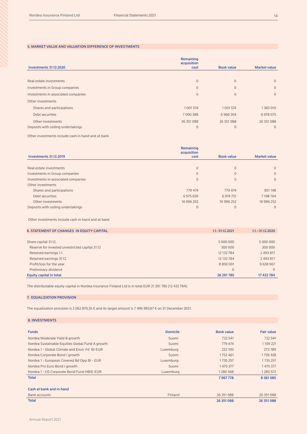#### 5. MARKET VALUE AND VALUATION DIFFERENCE OF INVESTMENTS

|                                     | Remaining<br>acquisition |                   |                     |
|-------------------------------------|--------------------------|-------------------|---------------------|
| <b>Investments 31.12.2020</b>       | cost                     | <b>Book value</b> | <b>Market value</b> |
|                                     |                          |                   |                     |
| Real estate investments             | $\Omega$                 | $\mathbf{0}$      | $\overline{0}$      |
| Investments in Group companies      | $\overline{0}$           | $\overline{0}$    | $\overline{0}$      |
| Investments in associated companies | $\Omega$                 | $\mathbf{0}$      | $\overline{0}$      |
| Other investments                   |                          |                   |                     |
| Shares and participations           | 1 0 0 1 5 7 4            | 1 0 0 1 5 7 4     | 1383010             |
| Debt securities                     | 7000388                  | 6966204           | 6978075             |
| Other investments                   | 26 351 088               | 26 351 088        | 26 351 088          |
| Deposits with ceding undertakings   | $\mathbf{0}$             | $\mathbf{0}$      | $\mathbf{0}$        |

Other investments include cash in hand and at bank

|                                     | Remaining           |                   |                     |
|-------------------------------------|---------------------|-------------------|---------------------|
| <b>Investments 31.12.2019</b>       | acquisition<br>cost | <b>Book value</b> | <b>Market value</b> |
|                                     |                     |                   |                     |
| Real estate investments             | $\Omega$            | $\overline{0}$    | $\Omega$            |
| Investments in Group companies      | $\Omega$            | $\overline{0}$    | $\Omega$            |
| Investments in associated companies | $\Omega$            | $\overline{0}$    | $\mathbf{0}$        |
| Other investments                   |                     |                   |                     |
| Shares and participations           | 779 474             | 779 474           | 851 148             |
| Debt securities                     | 6975639             | 6 974 751         | 7198764             |
| Other investments                   | 16 996 252          | 16 996 252        | 16 996 252          |
| Deposits with ceding undertakings   | $\mathbf{0}$        | $\overline{0}$    | $\Omega$            |

Other investments include cash in hand and at bank

| <b>6. STATEMENT OF CHANGES IN EQUITY CAPITAL</b> | 1.1.-31.12.2021 | $1.1 - 31.12.2020$ |
|--------------------------------------------------|-----------------|--------------------|
|                                                  |                 |                    |
| Share capital 31.12.                             | 5 000 000       | 5 000 000          |
| Reserve for invested unrestricted capital 31.12  | 300 000         | 300 000            |
| Retained earnings 1.1.                           | 12 132 784      | 2 493 817          |
| Retained earnings 31.12.                         | 12 132 784      | 2 493 817          |
| Profit/loss for the year                         | 8 8 5 9 0 0 1   | 9638967            |
| Preliminary dividend                             | $\mathbf{0}$    | $\Omega$           |
| Equity capital in total                          | 26 291 785      | 17 432 784         |

The distributable equity capital in Nordea Insurance Finland Ltd is in total EUR 21 291 785 (12 432 784).

#### 7. EQUALIZATION PROVISION

The equalization provision is 2 062 870,35 € and its target amount is 7 496 993,67 € on 31 December 2021.

|  |  | <b>8. INVESTMENTS</b> |  |  |  |
|--|--|-----------------------|--|--|--|
|--|--|-----------------------|--|--|--|

| <b>Funds</b>                                     | <b>Domicile</b> | <b>Book value</b> | <b>Fair value</b> |
|--------------------------------------------------|-----------------|-------------------|-------------------|
| Nordea Moderate Yield B growth                   | Suomi           | 722 541           | 722 541           |
| Nordea Sustainable Equities Global Fund A growth | Suomi           | 779 474           | 1109 221          |
| Nordea 1 - Global Climate and Envir. Fd BI-EUR   | Luxemburg       | 222 100           | 273789            |
| Nordea Corporate Bond I growth                   | Suomi           | 1752461           | 1759328           |
| Nordea 1 - European Covered Bd Opp BI - EUR      | Luxemburg       | 1735257           | 1735 257          |
| Nordea Pro Euro Bond I growth                    | Suomi           | 1 475 377         | 1 475 377         |
| Nordea 1 - US Corporate Bond Fund HBIE-EUR       | Luxemburg       | 1280568           | 1285 572          |
| <b>Total</b>                                     |                 | 7967778           | 8 3 6 1 0 8 5     |
| Cash at bank and in hand                         |                 |                   |                   |
| <b>Bank accounts</b>                             | Finland         | 26 351 088        | 26 351 088        |
| Total                                            |                 | 26 351 088        | 26 351 088        |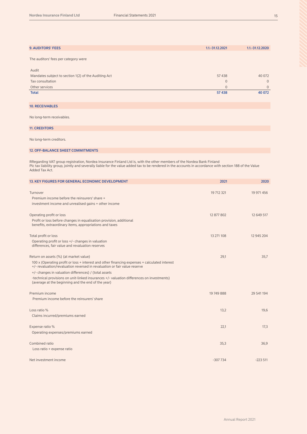| <b>9. AUDITORS' FEES</b>                                                                                                                                                                                                                                                                            | 1.1.-31.12.2021 | 1.1.-31.12.2020 |
|-----------------------------------------------------------------------------------------------------------------------------------------------------------------------------------------------------------------------------------------------------------------------------------------------------|-----------------|-----------------|
| The auditors' fees per category were                                                                                                                                                                                                                                                                |                 |                 |
|                                                                                                                                                                                                                                                                                                     |                 |                 |
| Audit                                                                                                                                                                                                                                                                                               | 57 438          | 40 072          |
| Mandates subject to section 1(2) of the Auditing Act<br>Tax consultation                                                                                                                                                                                                                            | $\mathbf{0}$    | $\mathbf{0}$    |
| Other services                                                                                                                                                                                                                                                                                      | $\mathbf 0$     | $\overline{0}$  |
| <b>Total</b>                                                                                                                                                                                                                                                                                        | 57 438          | 40 072          |
|                                                                                                                                                                                                                                                                                                     |                 |                 |
| <b>10. RECEIVABLES</b>                                                                                                                                                                                                                                                                              |                 |                 |
| No long-term receivables.                                                                                                                                                                                                                                                                           |                 |                 |
| <b>11. CREDITORS</b>                                                                                                                                                                                                                                                                                |                 |                 |
| No long-term creditors.                                                                                                                                                                                                                                                                             |                 |                 |
| <b>12. OFF-BALANCE SHEET COMMITMENTS</b>                                                                                                                                                                                                                                                            |                 |                 |
|                                                                                                                                                                                                                                                                                                     |                 |                 |
| RRegarding VAT group registration, Nordea Insurance Finland Ltd is, with the other members of the Nordea Bank Finland<br>Plc tax liability group, jointly and severally liable for the value added tax to be rendered in the accounts in accordance with section 188 of the Value<br>Added Tax Act. |                 |                 |
| 13. KEY FIGURES FOR GENERAL ECONOMIC DEVELOPMENT                                                                                                                                                                                                                                                    | 2021            | 2020            |
|                                                                                                                                                                                                                                                                                                     |                 |                 |
| Turnover<br>Premium income before the reinsurers' share +                                                                                                                                                                                                                                           | 19 712 321      | 19 971 456      |
| investment income and unrealised gains + other income                                                                                                                                                                                                                                               |                 |                 |
|                                                                                                                                                                                                                                                                                                     |                 |                 |
| Operating profit or loss<br>Profit or loss before changes in equalisation provision, additional                                                                                                                                                                                                     | 12 877 802      | 12 649 517      |
| benefits, extraordinary items, appropriations and taxes                                                                                                                                                                                                                                             |                 |                 |
| Total profit or loss                                                                                                                                                                                                                                                                                | 13 271 108      | 12 945 204      |
| Operating profit or loss +/- changes in valuation<br>differences, fair value and revaluation reserves                                                                                                                                                                                               |                 |                 |
| Return on assets (%) (at market value)                                                                                                                                                                                                                                                              | 29,1            | 35,7            |
| 100 x (Operating profit or loss + interest and other financing expenses + calculated interest<br>+/- revaluation/revaluation reversed in revaluation or fair value reserve                                                                                                                          |                 |                 |
| +/- changes in valuation differences) / (total assets                                                                                                                                                                                                                                               |                 |                 |
| -technical provisions on unit-linked insurances +/- valuation differences on investments)<br>(average at the beginning and the end of the year)                                                                                                                                                     |                 |                 |
| Premium income                                                                                                                                                                                                                                                                                      | 19 749 888      | 29 541 194      |
| Premium income before the reinsurers' share                                                                                                                                                                                                                                                         |                 |                 |
| Loss ratio %                                                                                                                                                                                                                                                                                        | 13,2            | 19,6            |
| Claims incurred/premiums earned                                                                                                                                                                                                                                                                     |                 |                 |
| Expense ratio %                                                                                                                                                                                                                                                                                     | 22,1            | 17,3            |
| Operating expenses/premiums earned                                                                                                                                                                                                                                                                  |                 |                 |

Combined ratio 35,3 36,9 Loss ratio + expense ratio

Net investment income -307 734 -223 511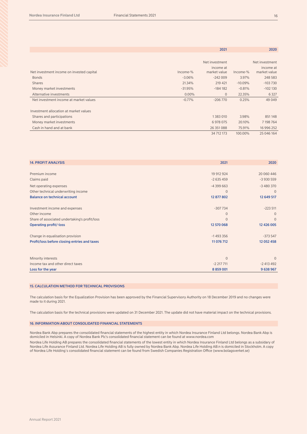|                                           |            | 2021                      |           | 2020                      |
|-------------------------------------------|------------|---------------------------|-----------|---------------------------|
|                                           |            |                           |           |                           |
|                                           |            | Net investment            |           | Net investment            |
| Net investment income on invested capital | $Income-%$ | income at<br>market value | Income-%  | income at<br>market value |
| <b>Bonds</b>                              | $-3.06%$   | $-242009$                 | 3.97%     | 248 583                   |
| <b>Shares</b>                             | 21.34%     | 219 421                   | $-10.09%$ | $-103730$                 |
| Money market investments                  | $-31.95%$  | $-184182$                 | $-0.81%$  | $-102130$                 |
| Alternative investments                   | $0.00\%$   | $\mathbf{0}$              | 22.35%    | 6 3 2 7                   |
| Net investment income at market values    | $-0.77%$   | $-206770$                 | 0.25%     | 49 0 49                   |
| Investment allocation at market values    |            |                           |           |                           |
| Shares and participations                 |            | 1383010                   | 3.98%     | 851148                    |
| Money market investments                  |            | 6 978 075                 | 20.10%    | 7 198 764                 |
| Cash in hand and at bank                  |            | 26 351 088                | 75.91%    | 16 996 252                |
|                                           |            | 34 712 173                | 100.00%   | 25 046 164                |

| <b>14. PROFIT ANALYSIS</b>                    | 2021           | 2020         |
|-----------------------------------------------|----------------|--------------|
|                                               |                |              |
| Premium income                                | 19 912 924     | 20 060 446   |
| Claims paid                                   | $-2635459$     | $-3930559$   |
| Net operating expenses                        | $-4399663$     | $-3480370$   |
| Other technical underwriting income           | $\overline{0}$ | $\mathbf{0}$ |
| <b>Balance on technical account</b>           | 12 877 802     | 12 649 517   |
| Investment income and expenses                | $-307734$      | $-223511$    |
| Other income                                  | $\mathbf{0}$   | $\mathbf{0}$ |
| Share of associated undertaking's profit/loss | $\Omega$       | $\Omega$     |
| <b>Operating profit/-loss</b>                 | 12 570 068     | 12 426 005   |
| Change in equalisation provision              | $-1$ 493 356   | $-373547$    |
| Profit/loss before closing entries and taxes  | 11 076 712     | 12 052 458   |
|                                               |                |              |
| Minority interests                            | $\Omega$       | $\Omega$     |
| Income tax and other direct taxes             | $-2$ 217 711   | $-2$ 413 492 |
| Loss for the year                             | 8 8 5 9 0 0 1  | 9 638 967    |

#### 15. CALCULATION METHOD FOR TECHNICAL PROVISIONS

The calculation basis for the Equalization Provision has been approved by the Financial Supervisory Authority on 18 December 2019 and no changes were made to it during 2021.

The calculation basis for the technical provisions were updated on 31 December 2021. The update did not have material impact on the technical provisions.

#### 16. INFORMATION ABOUT CONSOLIDATED FINANCIAL STATEMENTS

Nordea Bank Abp prepares the consolidated financial statements of the highest entity in which Nordea Insurance Finland Ltd belongs. Nordea Bank Abp is domiciled in Helsinki. A copy of Nordea Bank Plc's consolidated financial statement can be found at www.nordea.com

Nordea Life Holding AB prepares the consolidated financial statements of the lowest entity in which Nordea Insurance Finland Ltd belongs as a subsidary of Nordea Life Assurance Finland Ltd. Nordea Life Holding AB is fully owned by Nordea Bank Abp. Nordea Life Holding AB:n is domiciled in Stockholm. A copy of Nordea Life Holding´s consolidated financial statement can be found from Swedish Companies Registration Office (www.bolagsverket.se)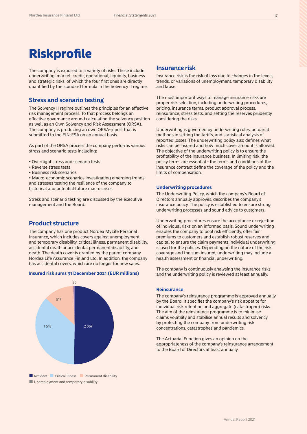The company is exposed to a variety of risks. These include underwriting, market, credit, operational, liquidity, business and strategic risks, of which the four first ones are directly quantified by the standard formula in the Solvency II regime.

### **Stress and scenario testing**

The Solvency II regime outlines the principles for an effective risk management process. To that process belongs an effective governance around calculating the solvency position as well as an Own Solvency and Risk Assessment (ORSA). The company is producing an own ORSA-report that is submitted to the FIN-FSA on an annual basis.

As part of the ORSA process the company performs various stress and scenario tests including:

- Overnight stress and scenario tests
- Reverse stress tests
- Business risk scenarios

• Macro-economic scenarios investigating emerging trends and stresses testing the resilience of the company to historical and potential future macro crises

Stress and scenario testing are discussed by the executive management and the Board.

## **Product structure**

The company has one product Nordea MyLife Personal Insurance, which includes covers against unemployment and temporary disability, critical illness, permanent disability, accidental death or accidental permanent disability, and death. The death cover is granted by the parent company Nordea Life Assurance Finland Ltd. In addition, the company has accidental covers, which are no longer for new sales.

#### **Insured risk sums 31 December 2021 (EUR millions)**



■ Unemployment and temporary disability

### **Insurance risk**

Insurance risk is the risk of loss due to changes in the levels, trends, or variations of unemployment, temporary disability and lapse.

The most important ways to manage insurance risks are proper risk selection, including underwriting procedures, pricing, insurance terms, product approval process, reinsurance, stress tests, and setting the reserves prudently considering the risks.

Underwriting is governed by underwriting rules, actuarial methods in setting the tariffs, and statistical analysis of reported losses. The underwriting policy also defines what risks can be insured and how much cover amount is allowed. The objective of the underwriting policy is to ensure the profitability of the insurance business. In limiting risk, the policy terms are essential - the terms and conditions of the insurance contract define the coverage of the policy and the limits of compensation.

#### **Underwriting procedures**

The Underwriting Policy, which the company's Board of Directors annually approves, describes the company's insurance policy. The policy is established to ensure strong underwriting processes and sound advice to customers.

Underwriting procedures ensure the acceptance or rejection of individual risks on an informed basis. Sound underwriting enables the company to pool risk efficiently, offer fair premiums to customers and establish robust reserves and capital to ensure the claim payments.Individual underwriting is used for the policies. Depending on the nature of the risk coverage and the sum insured, underwriting may include a health assessment or financial underwriting.

The company is continuously analysing the insurance risks and the underwriting policy is reviewed at least annually.

#### **Reinsurance**

The company's reinsurance programme is approved annually by the Board. It specifies the company's risk appetite for individual risk retention and aggregate (catastrophe) risks. The aim of the reinsurance programme is to minimise claims volatility and stabilise annual results and solvency by protecting the company from underwriting risk concentrations, catastrophes and pandemics.

The Actuarial Function gives an opinion on the appropriateness of the company's reinsurance arrangement to the Board of Directors at least annually.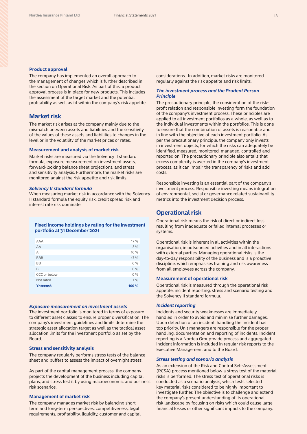#### **Product approval**

The company has implemented an overall approach to the management of changes which is further described in the section on Operational Risk. As part of this, a product approval process is in place for new products. This includes the assessment of the target market and the potential profitability as well as fit within the company's risk appetite.

### **Market risk**

The market risk arises at the company mainly due to the mismatch between assets and liabilities and the sensitivity of the values of these assets and liabilities to changes in the level or in the volatility of the market prices or rates.

#### **Measurement and analysis of market risk**

Market risks are measured via the Solvency II standard formula, exposure measurement on investment assets, forward-looking balance sheet projections, and stress and sensitivity analysis. Furthermore, the market risks are monitored against the risk appetite and risk limits.

#### *Solvency II standard formula*

When measuring market risk in accordance with the Solvency II standard formula the equity risk, credit spread risk and interest rate risk dominate.

#### **Fixed income holdings by rating for the investment portfolio at 31 December 2021**

| AAA          | 17 %  |
|--------------|-------|
| AA           | 13 %  |
| A            | 16 %  |
| <b>BBB</b>   | 47 %  |
| <b>BB</b>    | 6 %   |
| B            | 0%    |
| CCC or below | 0%    |
| Not rated    | 1%    |
| Yhteensä     | 100 % |

#### *Exposure measurement on investment assets*

The investment portfolio is monitored in terms of exposure to different asset classes to ensure proper diversification. The company's investment guidelines and limits determine the strategic asset allocation target as well as the tactical asset allocation limits for the investment portfolio as set by the Board.

#### **Stress and sensitivity analysis**

The company regularly performs stress tests of the balance sheet and buffers to assess the impact of overnight stress.

As part of the capital management process, the company projects the development of the business including capital plans, and stress test it by using macroeconomic and business risk scenarios.

#### **Management of market risk**

The company manages market risk by balancing shortterm and long-term perspectives, competitiveness, legal requirements, profitability, liquidity, customer and capital considerations. In addition, market risks are monitored regularly against the risk appetite and risk limits.

#### *The investment process and the Prudent Person Principle*

The precautionary principle, the consideration of the riskprofit relation and responsible investing form the foundation of the company's investment process. These principles are applied to all investment portfolios as a whole, as well as to the individual investments within the portfolios. This is done to ensure that the combination of assets is reasonable and in line with the objective of each investment portfolio. As per the precautionary principle, the company only invests in investment objects, for which the risks can adequately be identified, measured, monitored, managed, controlled and reported on. The precautionary principle also entails that excess complexity is averted in the company's investment process, as it can impair the transparency of risks and add costs.

Responsible investing is an essential part of the company's investment process. Responsible investing means integration of environmental, social or governance related sustainability metrics into the investment decision process.

### **Operational risk**

Operational risk means the risk of direct or indirect loss resulting from inadequate or failed internal processes or systems.

Operational risk is inherent in all activities within the organisation, in outsourced activities and in all interactions with external parties. Managing operational risks is the day-to-day responsibility of the business and is a proactive discipline, which emphasises training and risk awareness from all employees across the company.

#### **Measurement of operational risk**

Operational risk is measured through the operational risk appetite, incident reporting, stress and scenario testing and the Solvency II standard formula.

#### *Incident reporting*

Incidents and security weaknesses are immediately handled in order to avoid and minimise further damages. Upon detection of an incident, handling the incident has top priority. Unit managers are responsible for the proper handling, documentation and reporting of incidents. Incident reporting is a Nordea Group-wide process and aggregated incident information is included in regular risk reports to the Executive Management and to the Board.

#### *Stress testing and scenario analysis*

As an extension of the Risk and Control Self-Assessment (RCSA) process mentioned below a stress test of the material risks is performed. The stress test of operational risks is conducted as a scenario analysis, which tests selected key material risks considered to be highly important to investigate further. The objective is to challenge and extend the company's present understanding of its operational risk landscape by focusing on risks which could cause large financial losses or other significant impacts to the company.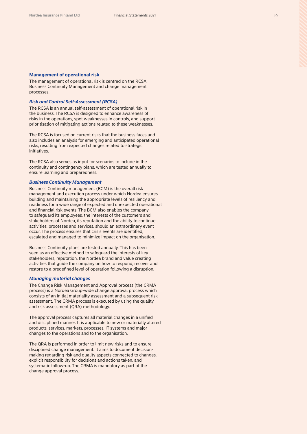#### **Management of operational risk**

The management of operational risk is centred on the RCSA, Business Continuity Management and change management processes.

#### *Risk and Control Self-Assessment (RCSA)*

The RCSA is an annual self-assessment of operational risk in the business. The RCSA is designed to enhance awareness of risks in the operations, spot weaknesses in controls, and support prioritisation of mitigating actions related to these weaknesses.

The RCSA is focused on current risks that the business faces and also includes an analysis for emerging and anticipated operational risks, resulting from expected changes related to strategic initiatives.

The RCSA also serves as input for scenarios to include in the continuity and contingency plans, which are tested annually to ensure learning and preparedness.

#### *Business Continuity Management*

Business Continuity management (BCM) is the overall risk management and execution process under which Nordea ensures building and maintaining the appropriate levels of resiliency and readiness for a wide range of expected and unexpected operational and financial risk events. The BCM also enables the company to safeguard its employees, the interests of the customers and stakeholders of Nordea, its reputation and the ability to continue activities, processes and services, should an extraordinary event occur. The process ensures that crisis events are identified, escalated and managed to minimize impact on the organisation.

Business Continuity plans are tested annually. This has been seen as an effective method to safeguard the interests of key stakeholders, reputation, the Nordea brand and value creating activities that guide the company on how to respond, recover and restore to a predefined level of operation following a disruption.

#### *Managing material changes*

The Change Risk Management and Approval process (the CRMA process) is a Nordea Group-wide change approval process which consists of an initial materiality assessment and a subsequent risk assessment. The CRMA process is executed by using the quality and risk assessment (QRA) methodology.

The approval process captures all material changes in a unified and disciplined manner. It is applicable to new or materially altered products, services, markets, processes, IT systems and major changes to the operations and to the organisation.

The QRA is performed in order to limit new risks and to ensure disciplined change management. It aims to document decisionmaking regarding risk and quality aspects connected to changes, explicit responsibility for decisions and actions taken, and systematic follow-up. The CRMA is mandatory as part of the change approval process.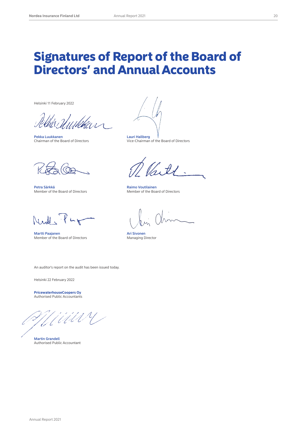## Signatures of Report of the Board of Directors' and Annual Accounts

Helsinki 11 February 2022

j

Pekka Luukkanen<br>Chairman of the Board of Directors **Lauri Hallberg** (Chairman of the Board of Directors Chairman of the Board of Directors

Petra Särkkä Raimo Voutilainen<br>
Member of the Board of Directors Member of the Boa

 $M, M$ .

Martti Paajanen Member of the Board of Directors Ari Sivonen Member of the Board of Directors Ari Sivonen Managing Director Member of the Board of Directors

 $\mathscr{D}_\varkappa$ 

Member of the Board of Directors

An auditor's report on the audit has been issued today.

Helsinki 22 February 2022

**PricewaterhouseCoopers Oy** Authorised Public Accountants

Martin Grandell Authorised Public Accountant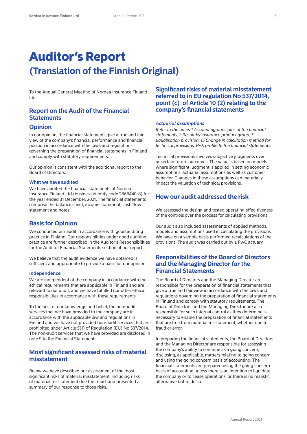## Auditor's Report **(Translation of the Finnish Original)**

To the Annual General Meeting of Nordea Insurance Finland Ltd.

## **Report on the Audit of the Financial Statements**

## **Opinion**

In our opinion, the financial statements give a true and fair view of the company's financial performance and financial position in accordance with the laws and regulations governing the preparation of financial statements in Finland and comply with statutory requirements.

Our opinion is consistent with the additional report to the Board of Directors.

### **What we have audited**

We have audited the financial statements of Nordea Insurance Finland Ltd (business identity code 2868440-8) for the year ended 31 December, 2021. The financial statements comprise the balance sheet, income statement, cash flow statement and notes.

## **Basis for Opinion**

We conducted our audit in accordance with good auditing practice in Finland. Our responsibilities under good auditing practice are further described in the Auditor's Responsibilities for the Audit of Financial Statements section of our report.

We believe that the audit evidence we have obtained is sufficient and appropriate to provide a basis for our opinion.

### **Independence**

We are independent of the company in accordance with the ethical requirements that are applicable in Finland and are relevant to our audit, and we have fulfilled our other ethical responsibilities in accordance with these requirements.

To the best of our knowledge and belief, the non-audit services that we have provided to the company are in accordance with the applicable law and regulations in Finland and we have not provided non-audit services that are prohibited under Article 5(1) of Regulation (EU) No 537/2014. The non-audit services that we have provided are disclosed in note 9 to the Financial Statements.

## **Most significant assessed risks of material misstatement**

Below we have described our assessment of the most significant risks of material misstatement, including risks of material misstatement due the fraud, and presented a summary of our response to those risks.

## **Significant risks of material misstatement referred to in EU regulation No 537/2014, point (c) of Article 10 (2) relating to the company's financial statements**

#### *Actuarial assumptions*

*Refer to the notes 1 Accounting principles of the financial statements, 2 Result by insurance product group, 7 Equalisation provision, 15 Change in calculation method for technical provisions, Risk profile to the financial statements.*

Technical provisions involves subjective judgments over uncertain future outcomes. The value is based on models where significant judgment is applied in setting economic assumptions, actuarial assumptions as well as customer behavior. Changes in these assumptions can materially impact the valuation of technical provisions.

## **How our audit addressed the risk**

We assessed the design and tested operating effec-tiveness of the controls over the process for calculating provisions.

Our audit also included assessments of applied methods, models and assumptions used in calculating the provisions. We have on a sample basis performed recalculations of the provisions. The audit was carried out by a PwC actuary.

### **Responsibilities of the Board of Directors and the Managing Director for the Financial Statements**

The Board of Directors and the Managing Director are responsible for the preparation of financial statements that give a true and fair view in accordance with the laws and regulations governing the preparation of financial statements in Finland and comply with statutory requirements. The Board of Directors and the Managing Director are also responsible for such internal control as they determine is necessary to enable the preparation of financial statements that are free from material misstatement, whether due to fraud or error.

In preparing the financial statements, the Board of Directors and the Managing Director are responsible for assessing the company's ability to continue as a going concern, disclosing, as applicable, matters relating to going concern and using the going concern basis of accounting. The financial statements are prepared using the going concern basis of accounting unless there is an intention to liquidate the company or to cease operations, or there is no realistic alternative but to do so.